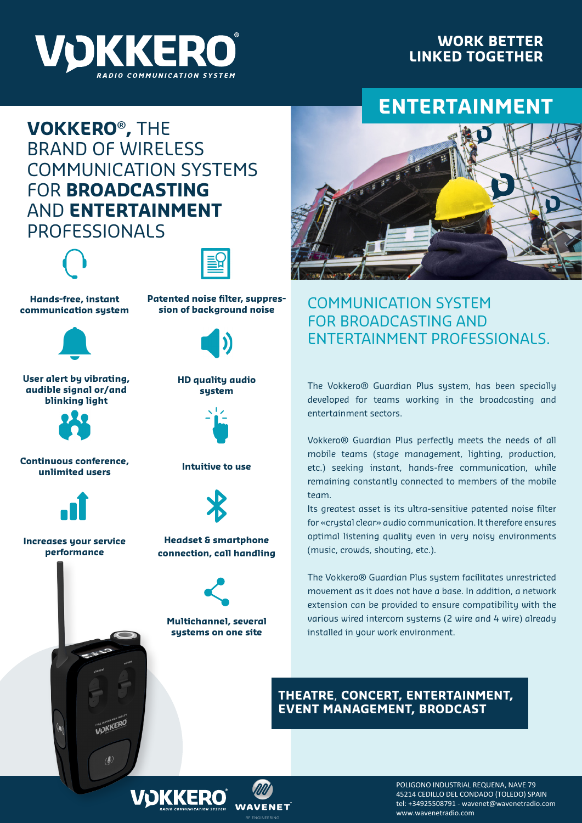

### **WORK BETTER LINKED TOGETHER**

# **ENTERTAINMENT**

## **VOKKERO® ,** THE BRAND OF WIRELESS COMMUNICATION SYSTEMS FOR **BROADCASTING** AND **ENTERTAINMENT** PROFESSIONALS





**Hands-free, instant communication system**



**User alert by vibrating, audible signal or/and blinking light**



**Continuous conference, unlimited users**



**Increases your service performance**

WOKKERO



**Patented noise filter, suppres-**

**HD quality audio system**



**Intuitive to use**



#### **Headset & smartphone connection, call handling**



**Multichannel, several systems on one site**



## COMMUNICATION SYSTEM FOR BROADCASTING AND ENTERTAINMENT PROFESSIONALS.

The Vokkero® Guardian Plus system, has been specially developed for teams working in the broadcasting and entertainment sectors.

Vokkero® Guardian Plus perfectly meets the needs of all mobile teams (stage management, lighting, production, etc.) seeking instant, hands-free communication, while remaining constantly connected to members of the mobile team.

Its greatest asset is its ultra-sensitive patented noise filter for «crystal clear» audio communication. It therefore ensures optimal listening quality even in very noisy environments (music, crowds, shouting, etc.).

The Vokkero® Guardian Plus system facilitates unrestricted movement as it does not have a base. In addition, a network extension can be provided to ensure compatibility with the various wired intercom systems (2 wire and 4 wire) already installed in your work environment.

#### **THEATRE**, **CONCERT, ENTERTAINMENT, EVENT MANAGEMENT, BRODCAST**



POLIGONO INDUSTRIAL REQUENA, NAVE 79 45214 CEDILLO DEL CONDADO (TOLEDO) SPAIN tel: +34925508791 - wavenet@wavenetradio.com www.wavenetradio.com